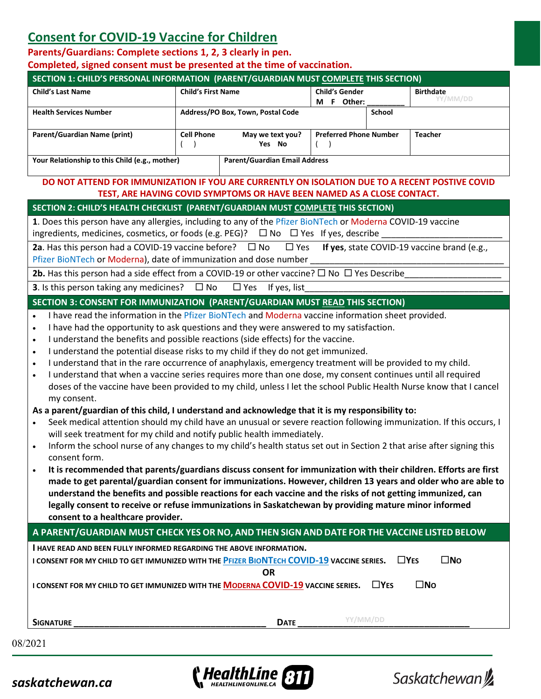## **Consent for COVID-19 Vaccine for Children**

## **Parents/Guardians: Complete sections 1, 2, 3 clearly in pen.**

**Completed, signed consent must be presented at the time of vaccination.** 

|                                                                                                                                                                                                                                                                                                                                                                                                                                                                                                                                                                                                                                                                                                                                                                                                                                                                                                                                                                                                                                                                                                                                                                                                                                                                                                                                                                                                                                                                                                                                                                                                                                                              |                           | SECTION 1: CHILD'S PERSONAL INFORMATION (PARENT/GUARDIAN MUST COMPLETE THIS SECTION) |                                     |                               |  |  |
|--------------------------------------------------------------------------------------------------------------------------------------------------------------------------------------------------------------------------------------------------------------------------------------------------------------------------------------------------------------------------------------------------------------------------------------------------------------------------------------------------------------------------------------------------------------------------------------------------------------------------------------------------------------------------------------------------------------------------------------------------------------------------------------------------------------------------------------------------------------------------------------------------------------------------------------------------------------------------------------------------------------------------------------------------------------------------------------------------------------------------------------------------------------------------------------------------------------------------------------------------------------------------------------------------------------------------------------------------------------------------------------------------------------------------------------------------------------------------------------------------------------------------------------------------------------------------------------------------------------------------------------------------------------|---------------------------|--------------------------------------------------------------------------------------|-------------------------------------|-------------------------------|--|--|
| <b>Child's Last Name</b>                                                                                                                                                                                                                                                                                                                                                                                                                                                                                                                                                                                                                                                                                                                                                                                                                                                                                                                                                                                                                                                                                                                                                                                                                                                                                                                                                                                                                                                                                                                                                                                                                                     | <b>Child's First Name</b> |                                                                                      | <b>Child's Gender</b><br>M F Other: | <b>Birthdate</b><br>YY/MM/DD  |  |  |
| <b>Health Services Number</b>                                                                                                                                                                                                                                                                                                                                                                                                                                                                                                                                                                                                                                                                                                                                                                                                                                                                                                                                                                                                                                                                                                                                                                                                                                                                                                                                                                                                                                                                                                                                                                                                                                |                           | Address/PO Box, Town, Postal Code                                                    | <b>School</b>                       |                               |  |  |
| <b>Parent/Guardian Name (print)</b>                                                                                                                                                                                                                                                                                                                                                                                                                                                                                                                                                                                                                                                                                                                                                                                                                                                                                                                                                                                                                                                                                                                                                                                                                                                                                                                                                                                                                                                                                                                                                                                                                          | <b>Cell Phone</b>         | May we text you?                                                                     | <b>Preferred Phone Number</b>       | <b>Teacher</b>                |  |  |
|                                                                                                                                                                                                                                                                                                                                                                                                                                                                                                                                                                                                                                                                                                                                                                                                                                                                                                                                                                                                                                                                                                                                                                                                                                                                                                                                                                                                                                                                                                                                                                                                                                                              |                           | Yes No                                                                               |                                     |                               |  |  |
| Your Relationship to this Child (e.g., mother)                                                                                                                                                                                                                                                                                                                                                                                                                                                                                                                                                                                                                                                                                                                                                                                                                                                                                                                                                                                                                                                                                                                                                                                                                                                                                                                                                                                                                                                                                                                                                                                                               |                           | <b>Parent/Guardian Email Address</b>                                                 |                                     |                               |  |  |
| DO NOT ATTEND FOR IMMUNIZATION IF YOU ARE CURRENTLY ON ISOLATION DUE TO A RECENT POSTIVE COVID                                                                                                                                                                                                                                                                                                                                                                                                                                                                                                                                                                                                                                                                                                                                                                                                                                                                                                                                                                                                                                                                                                                                                                                                                                                                                                                                                                                                                                                                                                                                                               |                           |                                                                                      |                                     |                               |  |  |
|                                                                                                                                                                                                                                                                                                                                                                                                                                                                                                                                                                                                                                                                                                                                                                                                                                                                                                                                                                                                                                                                                                                                                                                                                                                                                                                                                                                                                                                                                                                                                                                                                                                              |                           | TEST, ARE HAVING COVID SYMPTOMS OR HAVE BEEN NAMED AS A CLOSE CONTACT.               |                                     |                               |  |  |
| SECTION 2: CHILD'S HEALTH CHECKLIST (PARENT/GUARDIAN MUST COMPLETE THIS SECTION)                                                                                                                                                                                                                                                                                                                                                                                                                                                                                                                                                                                                                                                                                                                                                                                                                                                                                                                                                                                                                                                                                                                                                                                                                                                                                                                                                                                                                                                                                                                                                                             |                           |                                                                                      |                                     |                               |  |  |
| 1. Does this person have any allergies, including to any of the Pfizer BioNTech or Moderna COVID-19 vaccine<br>ingredients, medicines, cosmetics, or foods (e.g. PEG)? $\Box$ No $\Box$ Yes If yes, describe                                                                                                                                                                                                                                                                                                                                                                                                                                                                                                                                                                                                                                                                                                                                                                                                                                                                                                                                                                                                                                                                                                                                                                                                                                                                                                                                                                                                                                                 |                           |                                                                                      |                                     |                               |  |  |
| 2a. Has this person had a COVID-19 vaccine before? $\Box$ No $\Box$ Yes If yes, state COVID-19 vaccine brand (e.g.,                                                                                                                                                                                                                                                                                                                                                                                                                                                                                                                                                                                                                                                                                                                                                                                                                                                                                                                                                                                                                                                                                                                                                                                                                                                                                                                                                                                                                                                                                                                                          |                           |                                                                                      |                                     |                               |  |  |
| Pfizer BioNTech or Moderna), date of immunization and dose number                                                                                                                                                                                                                                                                                                                                                                                                                                                                                                                                                                                                                                                                                                                                                                                                                                                                                                                                                                                                                                                                                                                                                                                                                                                                                                                                                                                                                                                                                                                                                                                            |                           |                                                                                      |                                     |                               |  |  |
| 2b. Has this person had a side effect from a COVID-19 or other vaccine? $\Box$ No $\Box$ Yes Describe                                                                                                                                                                                                                                                                                                                                                                                                                                                                                                                                                                                                                                                                                                                                                                                                                                                                                                                                                                                                                                                                                                                                                                                                                                                                                                                                                                                                                                                                                                                                                        |                           |                                                                                      |                                     |                               |  |  |
| <b>3.</b> Is this person taking any medicines? $\Box$ No $\Box$ Yes If yes, list                                                                                                                                                                                                                                                                                                                                                                                                                                                                                                                                                                                                                                                                                                                                                                                                                                                                                                                                                                                                                                                                                                                                                                                                                                                                                                                                                                                                                                                                                                                                                                             |                           |                                                                                      |                                     |                               |  |  |
| SECTION 3: CONSENT FOR IMMUNIZATION (PARENT/GUARDIAN MUST READ THIS SECTION)                                                                                                                                                                                                                                                                                                                                                                                                                                                                                                                                                                                                                                                                                                                                                                                                                                                                                                                                                                                                                                                                                                                                                                                                                                                                                                                                                                                                                                                                                                                                                                                 |                           |                                                                                      |                                     |                               |  |  |
| I understand the benefits and possible reactions (side effects) for the vaccine.<br>$\bullet$<br>I understand the potential disease risks to my child if they do not get immunized.<br>$\bullet$<br>I understand that in the rare occurrence of anaphylaxis, emergency treatment will be provided to my child.<br>$\bullet$<br>I understand that when a vaccine series requires more than one dose, my consent continues until all required<br>$\bullet$<br>doses of the vaccine have been provided to my child, unless I let the school Public Health Nurse know that I cancel<br>my consent.<br>As a parent/guardian of this child, I understand and acknowledge that it is my responsibility to:<br>Seek medical attention should my child have an unusual or severe reaction following immunization. If this occurs, I<br>will seek treatment for my child and notify public health immediately.<br>Inform the school nurse of any changes to my child's health status set out in Section 2 that arise after signing this<br>$\bullet$<br>consent form.<br>It is recommended that parents/guardians discuss consent for immunization with their children. Efforts are first<br>made to get parental/guardian consent for immunizations. However, children 13 years and older who are able to<br>understand the benefits and possible reactions for each vaccine and the risks of not getting immunized, can<br>legally consent to receive or refuse immunizations in Saskatchewan by providing mature minor informed<br>consent to a healthcare provider.<br>A PARENT/GUARDIAN MUST CHECK YES OR NO, AND THEN SIGN AND DATE FOR THE VACCINE LISTED BELOW |                           |                                                                                      |                                     |                               |  |  |
| I HAVE READ AND BEEN FULLY INFORMED REGARDING THE ABOVE INFORMATION.                                                                                                                                                                                                                                                                                                                                                                                                                                                                                                                                                                                                                                                                                                                                                                                                                                                                                                                                                                                                                                                                                                                                                                                                                                                                                                                                                                                                                                                                                                                                                                                         |                           |                                                                                      |                                     |                               |  |  |
| I CONSENT FOR MY CHILD TO GET IMMUNIZED WITH THE PFIZER BIONTECH COVID-19 VACCINE SERIES.                                                                                                                                                                                                                                                                                                                                                                                                                                                                                                                                                                                                                                                                                                                                                                                                                                                                                                                                                                                                                                                                                                                                                                                                                                                                                                                                                                                                                                                                                                                                                                    |                           | <b>OR</b>                                                                            |                                     | $\square$ YES<br>$\square$ No |  |  |
| I CONSENT FOR MY CHILD TO GET IMMUNIZED WITH THE MODERNA COVID-19 VACCINE SERIES.                                                                                                                                                                                                                                                                                                                                                                                                                                                                                                                                                                                                                                                                                                                                                                                                                                                                                                                                                                                                                                                                                                                                                                                                                                                                                                                                                                                                                                                                                                                                                                            |                           |                                                                                      | $\Box$ YES                          | $\square$ No                  |  |  |
|                                                                                                                                                                                                                                                                                                                                                                                                                                                                                                                                                                                                                                                                                                                                                                                                                                                                                                                                                                                                                                                                                                                                                                                                                                                                                                                                                                                                                                                                                                                                                                                                                                                              |                           |                                                                                      |                                     |                               |  |  |